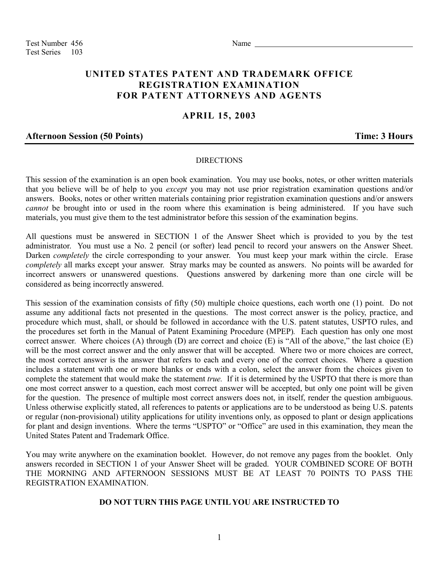Test Number 456 Name Test Series 103

# **UNITED STATES PATENT AND TRADEMARK OFFICE REGISTRATION EXAMINATION FOR PATENT ATTORNEYS AND AGENTS**

## **APRIL 15, 2003**

#### **Afternoon Session (50 Points) Time: 3 Hours**

#### DIRECTIONS

This session of the examination is an open book examination. You may use books, notes, or other written materials that you believe will be of help to you *except* you may not use prior registration examination questions and/or answers. Books, notes or other written materials containing prior registration examination questions and/or answers *cannot* be brought into or used in the room where this examination is being administered. If you have such materials, you must give them to the test administrator before this session of the examination begins.

All questions must be answered in SECTION 1 of the Answer Sheet which is provided to you by the test administrator. You must use a No. 2 pencil (or softer) lead pencil to record your answers on the Answer Sheet. Darken *completely* the circle corresponding to your answer. You must keep your mark within the circle. Erase *completely* all marks except your answer. Stray marks may be counted as answers. No points will be awarded for incorrect answers or unanswered questions. Questions answered by darkening more than one circle will be considered as being incorrectly answered.

This session of the examination consists of fifty (50) multiple choice questions, each worth one (1) point. Do not assume any additional facts not presented in the questions. The most correct answer is the policy, practice, and procedure which must, shall, or should be followed in accordance with the U.S. patent statutes, USPTO rules, and the procedures set forth in the Manual of Patent Examining Procedure (MPEP)*.* Each question has only one most correct answer. Where choices (A) through (D) are correct and choice (E) is "All of the above," the last choice (E) will be the most correct answer and the only answer that will be accepted. Where two or more choices are correct, the most correct answer is the answer that refers to each and every one of the correct choices. Where a question includes a statement with one or more blanks or ends with a colon, select the answer from the choices given to complete the statement that would make the statement *true.* If it is determined by the USPTO that there is more than one most correct answer to a question, each most correct answer will be accepted, but only one point will be given for the question. The presence of multiple most correct answers does not, in itself, render the question ambiguous. Unless otherwise explicitly stated, all references to patents or applications are to be understood as being U.S. patents or regular (non-provisional) utility applications for utility inventions only, as opposed to plant or design applications for plant and design inventions. Where the terms "USPTO" or "Office" are used in this examination, they mean the United States Patent and Trademark Office.

You may write anywhere on the examination booklet. However, do not remove any pages from the booklet. Only answers recorded in SECTION 1 of your Answer Sheet will be graded. YOUR COMBINED SCORE OF BOTH THE MORNING AND AFTERNOON SESSIONS MUST BE AT LEAST 70 POINTS TO PASS THE REGISTRATION EXAMINATION.

### **DO NOT TURN THIS PAGE UNTIL YOU ARE INSTRUCTED TO**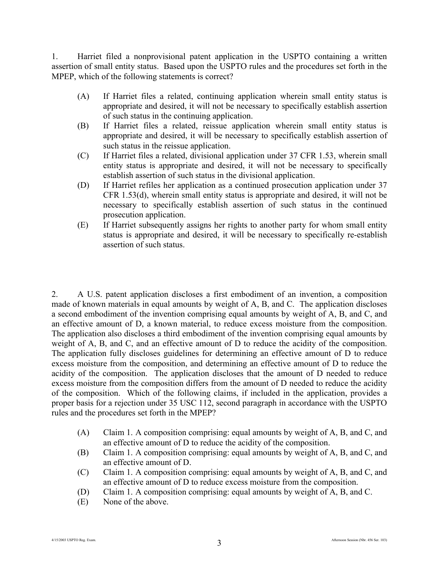1. Harriet filed a nonprovisional patent application in the USPTO containing a written assertion of small entity status. Based upon the USPTO rules and the procedures set forth in the MPEP, which of the following statements is correct?

- (A) If Harriet files a related, continuing application wherein small entity status is appropriate and desired, it will not be necessary to specifically establish assertion of such status in the continuing application.
- (B) If Harriet files a related, reissue application wherein small entity status is appropriate and desired, it will be necessary to specifically establish assertion of such status in the reissue application.
- (C) If Harriet files a related, divisional application under 37 CFR 1.53, wherein small entity status is appropriate and desired, it will not be necessary to specifically establish assertion of such status in the divisional application.
- (D) If Harriet refiles her application as a continued prosecution application under 37 CFR 1.53(d), wherein small entity status is appropriate and desired, it will not be necessary to specifically establish assertion of such status in the continued prosecution application.
- (E) If Harriet subsequently assigns her rights to another party for whom small entity status is appropriate and desired, it will be necessary to specifically re-establish assertion of such status.

2. A U.S. patent application discloses a first embodiment of an invention, a composition made of known materials in equal amounts by weight of A, B, and C. The application discloses a second embodiment of the invention comprising equal amounts by weight of A, B, and C, and an effective amount of D, a known material, to reduce excess moisture from the composition. The application also discloses a third embodiment of the invention comprising equal amounts by weight of A, B, and C, and an effective amount of D to reduce the acidity of the composition. The application fully discloses guidelines for determining an effective amount of D to reduce excess moisture from the composition, and determining an effective amount of D to reduce the acidity of the composition. The application discloses that the amount of D needed to reduce excess moisture from the composition differs from the amount of D needed to reduce the acidity of the composition. Which of the following claims, if included in the application, provides a proper basis for a rejection under 35 USC 112, second paragraph in accordance with the USPTO rules and the procedures set forth in the MPEP?

- (A) Claim 1. A composition comprising: equal amounts by weight of A, B, and C, and an effective amount of D to reduce the acidity of the composition.
- (B) Claim 1. A composition comprising: equal amounts by weight of A, B, and C, and an effective amount of D.
- (C) Claim 1. A composition comprising: equal amounts by weight of A, B, and C, and an effective amount of D to reduce excess moisture from the composition.
- (D) Claim 1. A composition comprising: equal amounts by weight of A, B, and C.
- (E) None of the above.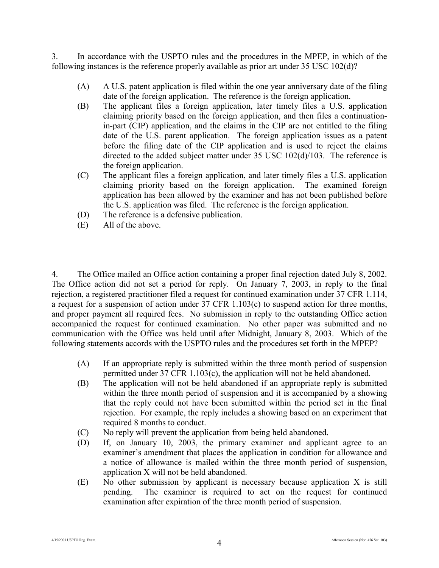3. In accordance with the USPTO rules and the procedures in the MPEP, in which of the following instances is the reference properly available as prior art under 35 USC 102(d)?

- (A) A U.S. patent application is filed within the one year anniversary date of the filing date of the foreign application. The reference is the foreign application.
- (B) The applicant files a foreign application, later timely files a U.S. application claiming priority based on the foreign application, and then files a continuationin-part (CIP) application, and the claims in the CIP are not entitled to the filing date of the U.S. parent application. The foreign application issues as a patent before the filing date of the CIP application and is used to reject the claims directed to the added subject matter under 35 USC 102(d)/103. The reference is the foreign application.
- (C) The applicant files a foreign application, and later timely files a U.S. application claiming priority based on the foreign application. The examined foreign application has been allowed by the examiner and has not been published before the U.S. application was filed. The reference is the foreign application.
- (D) The reference is a defensive publication.
- (E) All of the above.

4. The Office mailed an Office action containing a proper final rejection dated July 8, 2002. The Office action did not set a period for reply. On January 7, 2003, in reply to the final rejection, a registered practitioner filed a request for continued examination under 37 CFR 1.114, a request for a suspension of action under 37 CFR 1.103(c) to suspend action for three months, and proper payment all required fees. No submission in reply to the outstanding Office action accompanied the request for continued examination. No other paper was submitted and no communication with the Office was held until after Midnight, January 8, 2003. Which of the following statements accords with the USPTO rules and the procedures set forth in the MPEP?

- (A) If an appropriate reply is submitted within the three month period of suspension permitted under 37 CFR 1.103(c), the application will not be held abandoned.
- (B) The application will not be held abandoned if an appropriate reply is submitted within the three month period of suspension and it is accompanied by a showing that the reply could not have been submitted within the period set in the final rejection. For example, the reply includes a showing based on an experiment that required 8 months to conduct.
- (C) No reply will prevent the application from being held abandoned.
- (D) If, on January 10, 2003, the primary examiner and applicant agree to an examiner's amendment that places the application in condition for allowance and a notice of allowance is mailed within the three month period of suspension, application X will not be held abandoned.
- (E) No other submission by applicant is necessary because application X is still pending. The examiner is required to act on the request for continued examination after expiration of the three month period of suspension.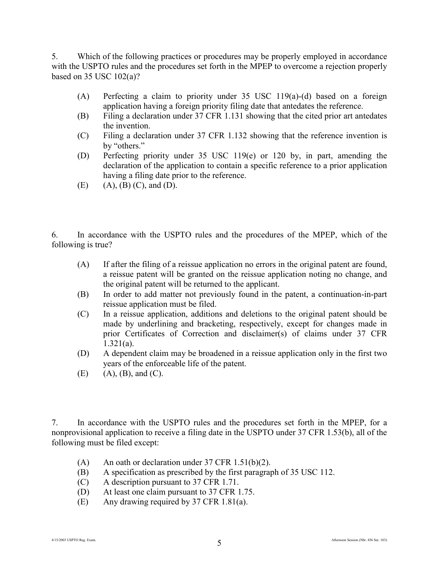5. Which of the following practices or procedures may be properly employed in accordance with the USPTO rules and the procedures set forth in the MPEP to overcome a rejection properly based on 35 USC 102(a)?

- (A) Perfecting a claim to priority under 35 USC 119(a)-(d) based on a foreign application having a foreign priority filing date that antedates the reference.
- (B) Filing a declaration under 37 CFR 1.131 showing that the cited prior art antedates the invention.
- (C) Filing a declaration under 37 CFR 1.132 showing that the reference invention is by "others."
- (D) Perfecting priority under 35 USC 119(e) or 120 by, in part, amending the declaration of the application to contain a specific reference to a prior application having a filing date prior to the reference.
- (E) (A), (B) (C), and (D).

6. In accordance with the USPTO rules and the procedures of the MPEP, which of the following is true?

- (A) If after the filing of a reissue application no errors in the original patent are found, a reissue patent will be granted on the reissue application noting no change, and the original patent will be returned to the applicant.
- (B) In order to add matter not previously found in the patent, a continuation-in-part reissue application must be filed.
- (C) In a reissue application, additions and deletions to the original patent should be made by underlining and bracketing, respectively, except for changes made in prior Certificates of Correction and disclaimer(s) of claims under 37 CFR 1.321(a).
- (D) A dependent claim may be broadened in a reissue application only in the first two years of the enforceable life of the patent.
- $(E)$  (A),  $(B)$ , and  $(C)$ .

7. In accordance with the USPTO rules and the procedures set forth in the MPEP, for a nonprovisional application to receive a filing date in the USPTO under 37 CFR 1.53(b), all of the following must be filed except:

- (A) An oath or declaration under  $37$  CFR 1.51(b)(2).
- (B) A specification as prescribed by the first paragraph of 35 USC 112.
- (C) A description pursuant to 37 CFR 1.71.
- (D) At least one claim pursuant to 37 CFR 1.75.
- (E) Any drawing required by 37 CFR 1.81(a).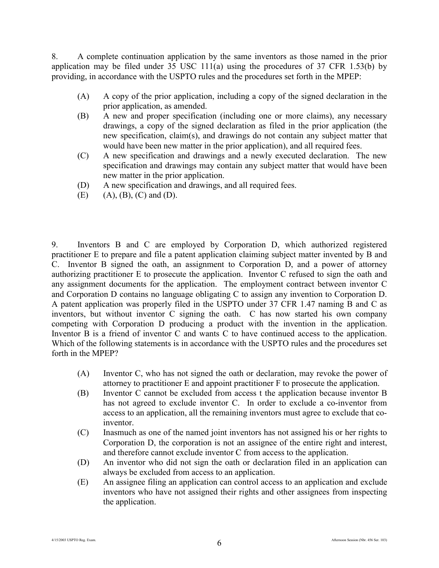8. A complete continuation application by the same inventors as those named in the prior application may be filed under  $35 \text{ USC } 111(a)$  using the procedures of  $37 \text{ CFR } 1.53(b)$  by providing, in accordance with the USPTO rules and the procedures set forth in the MPEP:

- (A) A copy of the prior application, including a copy of the signed declaration in the prior application, as amended.
- (B) A new and proper specification (including one or more claims), any necessary drawings, a copy of the signed declaration as filed in the prior application (the new specification, claim(s), and drawings do not contain any subject matter that would have been new matter in the prior application), and all required fees.
- (C) A new specification and drawings and a newly executed declaration. The new specification and drawings may contain any subject matter that would have been new matter in the prior application.
- (D) A new specification and drawings, and all required fees.
- $(E)$  (A),  $(B)$ ,  $(C)$  and  $(D)$ .

9. Inventors B and C are employed by Corporation D, which authorized registered practitioner E to prepare and file a patent application claiming subject matter invented by B and C. Inventor B signed the oath, an assignment to Corporation D, and a power of attorney authorizing practitioner E to prosecute the application. Inventor C refused to sign the oath and any assignment documents for the application. The employment contract between inventor C and Corporation D contains no language obligating C to assign any invention to Corporation D. A patent application was properly filed in the USPTO under 37 CFR 1.47 naming B and C as inventors, but without inventor C signing the oath. C has now started his own company competing with Corporation D producing a product with the invention in the application. Inventor B is a friend of inventor C and wants C to have continued access to the application. Which of the following statements is in accordance with the USPTO rules and the procedures set forth in the MPEP?

- (A) Inventor C, who has not signed the oath or declaration, may revoke the power of attorney to practitioner E and appoint practitioner F to prosecute the application.
- (B) Inventor C cannot be excluded from access t the application because inventor B has not agreed to exclude inventor C. In order to exclude a co-inventor from access to an application, all the remaining inventors must agree to exclude that coinventor.
- (C) Inasmuch as one of the named joint inventors has not assigned his or her rights to Corporation D, the corporation is not an assignee of the entire right and interest, and therefore cannot exclude inventor C from access to the application.
- (D) An inventor who did not sign the oath or declaration filed in an application can always be excluded from access to an application.
- (E) An assignee filing an application can control access to an application and exclude inventors who have not assigned their rights and other assignees from inspecting the application.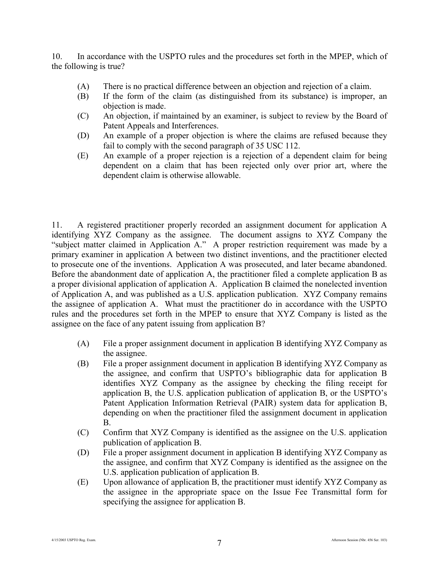10. In accordance with the USPTO rules and the procedures set forth in the MPEP, which of the following is true?

- (A) There is no practical difference between an objection and rejection of a claim.
- (B) If the form of the claim (as distinguished from its substance) is improper, an objection is made.
- (C) An objection, if maintained by an examiner, is subject to review by the Board of Patent Appeals and Interferences.
- (D) An example of a proper objection is where the claims are refused because they fail to comply with the second paragraph of 35 USC 112.
- (E) An example of a proper rejection is a rejection of a dependent claim for being dependent on a claim that has been rejected only over prior art, where the dependent claim is otherwise allowable.

11. A registered practitioner properly recorded an assignment document for application A identifying XYZ Company as the assignee. The document assigns to XYZ Company the "subject matter claimed in Application A." A proper restriction requirement was made by a primary examiner in application A between two distinct inventions, and the practitioner elected to prosecute one of the inventions. Application A was prosecuted, and later became abandoned. Before the abandonment date of application A, the practitioner filed a complete application B as a proper divisional application of application A. Application B claimed the nonelected invention of Application A, and was published as a U.S. application publication. XYZ Company remains the assignee of application A. What must the practitioner do in accordance with the USPTO rules and the procedures set forth in the MPEP to ensure that XYZ Company is listed as the assignee on the face of any patent issuing from application B?

- (A) File a proper assignment document in application B identifying XYZ Company as the assignee.
- (B) File a proper assignment document in application B identifying XYZ Company as the assignee, and confirm that USPTO's bibliographic data for application B identifies XYZ Company as the assignee by checking the filing receipt for application B, the U.S. application publication of application B, or the USPTO's Patent Application Information Retrieval (PAIR) system data for application B, depending on when the practitioner filed the assignment document in application B.
- (C) Confirm that XYZ Company is identified as the assignee on the U.S. application publication of application B.
- (D) File a proper assignment document in application B identifying XYZ Company as the assignee, and confirm that XYZ Company is identified as the assignee on the U.S. application publication of application B.
- (E) Upon allowance of application B, the practitioner must identify XYZ Company as the assignee in the appropriate space on the Issue Fee Transmittal form for specifying the assignee for application B.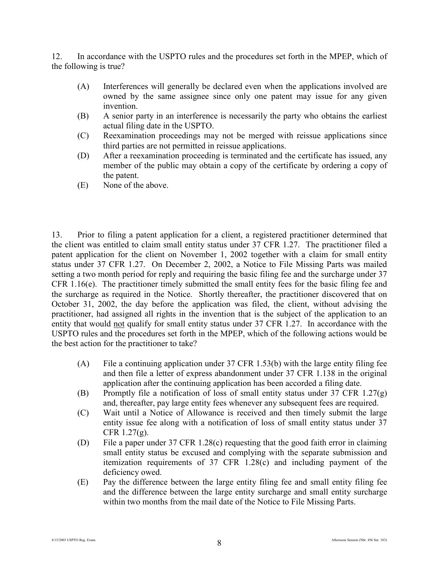12. In accordance with the USPTO rules and the procedures set forth in the MPEP, which of the following is true?

- (A) Interferences will generally be declared even when the applications involved are owned by the same assignee since only one patent may issue for any given invention.
- (B) A senior party in an interference is necessarily the party who obtains the earliest actual filing date in the USPTO.
- (C) Reexamination proceedings may not be merged with reissue applications since third parties are not permitted in reissue applications.
- (D) After a reexamination proceeding is terminated and the certificate has issued, any member of the public may obtain a copy of the certificate by ordering a copy of the patent.
- (E) None of the above.

13. Prior to filing a patent application for a client, a registered practitioner determined that the client was entitled to claim small entity status under 37 CFR 1.27. The practitioner filed a patent application for the client on November 1, 2002 together with a claim for small entity status under 37 CFR 1.27. On December 2, 2002, a Notice to File Missing Parts was mailed setting a two month period for reply and requiring the basic filing fee and the surcharge under 37 CFR 1.16(e). The practitioner timely submitted the small entity fees for the basic filing fee and the surcharge as required in the Notice. Shortly thereafter, the practitioner discovered that on October 31, 2002, the day before the application was filed, the client, without advising the practitioner, had assigned all rights in the invention that is the subject of the application to an entity that would not qualify for small entity status under 37 CFR 1.27. In accordance with the USPTO rules and the procedures set forth in the MPEP, which of the following actions would be the best action for the practitioner to take?

- (A) File a continuing application under 37 CFR 1.53(b) with the large entity filing fee and then file a letter of express abandonment under 37 CFR 1.138 in the original application after the continuing application has been accorded a filing date.
- (B) Promptly file a notification of loss of small entity status under 37 CFR 1.27(g) and, thereafter, pay large entity fees whenever any subsequent fees are required.
- (C) Wait until a Notice of Allowance is received and then timely submit the large entity issue fee along with a notification of loss of small entity status under 37 CFR  $1.27(g)$ .
- (D) File a paper under 37 CFR 1.28(c) requesting that the good faith error in claiming small entity status be excused and complying with the separate submission and itemization requirements of 37 CFR 1.28(c) and including payment of the deficiency owed.
- (E) Pay the difference between the large entity filing fee and small entity filing fee and the difference between the large entity surcharge and small entity surcharge within two months from the mail date of the Notice to File Missing Parts.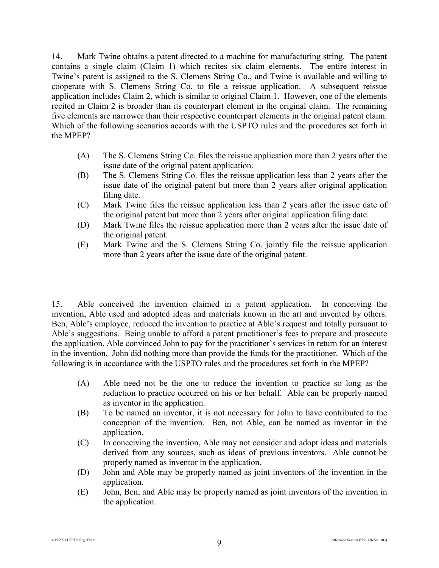14. Mark Twine obtains a patent directed to a machine for manufacturing string. The patent contains a single claim (Claim 1) which recites six claim elements. The entire interest in Twine's patent is assigned to the S. Clemens String Co., and Twine is available and willing to cooperate with S. Clemens String Co. to file a reissue application. A subsequent reissue application includes Claim 2, which is similar to original Claim 1. However, one of the elements recited in Claim 2 is broader than its counterpart element in the original claim. The remaining five elements are narrower than their respective counterpart elements in the original patent claim. Which of the following scenarios accords with the USPTO rules and the procedures set forth in the MPEP?

- (A) The S. Clemens String Co. files the reissue application more than 2 years after the issue date of the original patent application.
- (B) The S. Clemens String Co. files the reissue application less than 2 years after the issue date of the original patent but more than 2 years after original application filing date.
- (C) Mark Twine files the reissue application less than 2 years after the issue date of the original patent but more than 2 years after original application filing date.
- (D) Mark Twine files the reissue application more than 2 years after the issue date of the original patent.
- (E) Mark Twine and the S. Clemens String Co. jointly file the reissue application more than 2 years after the issue date of the original patent.

15. Able conceived the invention claimed in a patent application. In conceiving the invention, Able used and adopted ideas and materials known in the art and invented by others. Ben, Able's employee, reduced the invention to practice at Able's request and totally pursuant to Able's suggestions. Being unable to afford a patent practitioner's fees to prepare and prosecute the application, Able convinced John to pay for the practitioner's services in return for an interest in the invention. John did nothing more than provide the funds for the practitioner. Which of the following is in accordance with the USPTO rules and the procedures set forth in the MPEP?

- (A) Able need not be the one to reduce the invention to practice so long as the reduction to practice occurred on his or her behalf. Able can be properly named as inventor in the application.
- (B) To be named an inventor, it is not necessary for John to have contributed to the conception of the invention. Ben, not Able, can be named as inventor in the application.
- (C) In conceiving the invention, Able may not consider and adopt ideas and materials derived from any sources, such as ideas of previous inventors. Able cannot be properly named as inventor in the application.
- (D) John and Able may be properly named as joint inventors of the invention in the application.
- (E) John, Ben, and Able may be properly named as joint inventors of the invention in the application.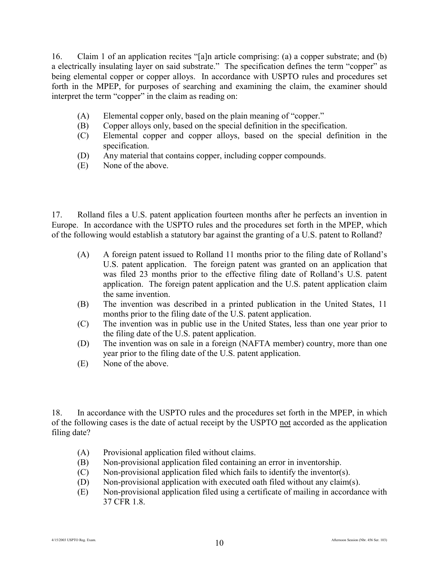16. Claim 1 of an application recites "[a]n article comprising: (a) a copper substrate; and (b) a electrically insulating layer on said substrate." The specification defines the term "copper" as being elemental copper or copper alloys. In accordance with USPTO rules and procedures set forth in the MPEP, for purposes of searching and examining the claim, the examiner should interpret the term "copper" in the claim as reading on:

- (A) Elemental copper only, based on the plain meaning of "copper."
- (B) Copper alloys only, based on the special definition in the specification.
- (C) Elemental copper and copper alloys, based on the special definition in the specification.
- (D) Any material that contains copper, including copper compounds.
- (E) None of the above.

17. Rolland files a U.S. patent application fourteen months after he perfects an invention in Europe. In accordance with the USPTO rules and the procedures set forth in the MPEP, which of the following would establish a statutory bar against the granting of a U.S. patent to Rolland?

- (A) A foreign patent issued to Rolland 11 months prior to the filing date of Rolland's U.S. patent application. The foreign patent was granted on an application that was filed 23 months prior to the effective filing date of Rolland's U.S. patent application. The foreign patent application and the U.S. patent application claim the same invention.
- (B) The invention was described in a printed publication in the United States, 11 months prior to the filing date of the U.S. patent application.
- (C) The invention was in public use in the United States, less than one year prior to the filing date of the U.S. patent application.
- (D) The invention was on sale in a foreign (NAFTA member) country, more than one year prior to the filing date of the U.S. patent application.
- (E) None of the above.

18. In accordance with the USPTO rules and the procedures set forth in the MPEP, in which of the following cases is the date of actual receipt by the USPTO not accorded as the application filing date?

- (A) Provisional application filed without claims.
- (B) Non-provisional application filed containing an error in inventorship.
- (C) Non-provisional application filed which fails to identify the inventor(s).
- (D) Non-provisional application with executed oath filed without any claim(s).
- (E) Non-provisional application filed using a certificate of mailing in accordance with 37 CFR 1.8.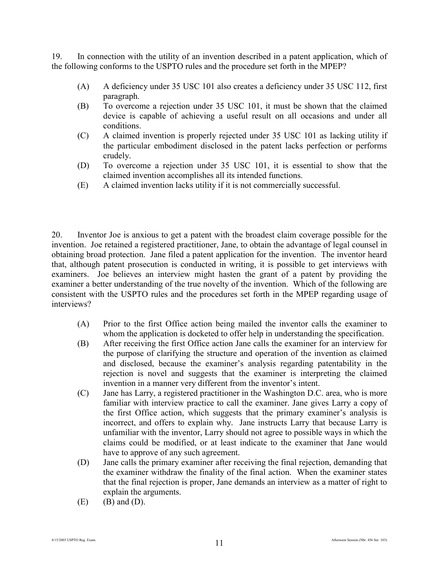19. In connection with the utility of an invention described in a patent application, which of the following conforms to the USPTO rules and the procedure set forth in the MPEP?

- (A) A deficiency under 35 USC 101 also creates a deficiency under 35 USC 112, first paragraph.
- (B) To overcome a rejection under 35 USC 101, it must be shown that the claimed device is capable of achieving a useful result on all occasions and under all conditions.
- (C) A claimed invention is properly rejected under 35 USC 101 as lacking utility if the particular embodiment disclosed in the patent lacks perfection or performs crudely.
- (D) To overcome a rejection under 35 USC 101, it is essential to show that the claimed invention accomplishes all its intended functions.
- (E) A claimed invention lacks utility if it is not commercially successful.

20. Inventor Joe is anxious to get a patent with the broadest claim coverage possible for the invention. Joe retained a registered practitioner, Jane, to obtain the advantage of legal counsel in obtaining broad protection. Jane filed a patent application for the invention. The inventor heard that, although patent prosecution is conducted in writing, it is possible to get interviews with examiners. Joe believes an interview might hasten the grant of a patent by providing the examiner a better understanding of the true novelty of the invention. Which of the following are consistent with the USPTO rules and the procedures set forth in the MPEP regarding usage of interviews?

- (A) Prior to the first Office action being mailed the inventor calls the examiner to whom the application is docketed to offer help in understanding the specification.
- (B) After receiving the first Office action Jane calls the examiner for an interview for the purpose of clarifying the structure and operation of the invention as claimed and disclosed, because the examiner's analysis regarding patentability in the rejection is novel and suggests that the examiner is interpreting the claimed invention in a manner very different from the inventor's intent.
- (C) Jane has Larry, a registered practitioner in the Washington D.C. area, who is more familiar with interview practice to call the examiner. Jane gives Larry a copy of the first Office action, which suggests that the primary examiner's analysis is incorrect, and offers to explain why. Jane instructs Larry that because Larry is unfamiliar with the inventor, Larry should not agree to possible ways in which the claims could be modified, or at least indicate to the examiner that Jane would have to approve of any such agreement.
- (D) Jane calls the primary examiner after receiving the final rejection, demanding that the examiner withdraw the finality of the final action. When the examiner states that the final rejection is proper, Jane demands an interview as a matter of right to explain the arguments.
- $(E)$  (B) and  $(D)$ .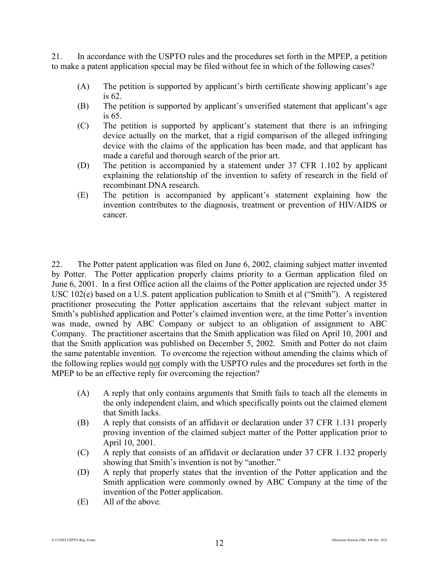21. In accordance with the USPTO rules and the procedures set forth in the MPEP, a petition to make a patent application special may be filed without fee in which of the following cases?

- (A) The petition is supported by applicant's birth certificate showing applicant's age is 62.
- (B) The petition is supported by applicant's unverified statement that applicant's age is 65.
- (C) The petition is supported by applicant's statement that there is an infringing device actually on the market, that a rigid comparison of the alleged infringing device with the claims of the application has been made, and that applicant has made a careful and thorough search of the prior art.
- (D) The petition is accompanied by a statement under 37 CFR 1.102 by applicant explaining the relationship of the invention to safety of research in the field of recombinant DNA research.
- (E) The petition is accompanied by applicant's statement explaining how the invention contributes to the diagnosis, treatment or prevention of HIV/AIDS or cancer.

22. The Potter patent application was filed on June 6, 2002, claiming subject matter invented by Potter. The Potter application properly claims priority to a German application filed on June 6, 2001. In a first Office action all the claims of the Potter application are rejected under 35 USC 102(e) based on a U.S. patent application publication to Smith et al ("Smith"). A registered practitioner prosecuting the Potter application ascertains that the relevant subject matter in Smith's published application and Potter's claimed invention were, at the time Potter's invention was made, owned by ABC Company or subject to an obligation of assignment to ABC Company. The practitioner ascertains that the Smith application was filed on April 10, 2001 and that the Smith application was published on December 5, 2002. Smith and Potter do not claim the same patentable invention. To overcome the rejection without amending the claims which of the following replies would not comply with the USPTO rules and the procedures set forth in the MPEP to be an effective reply for overcoming the rejection?

- (A) A reply that only contains arguments that Smith fails to teach all the elements in the only independent claim, and which specifically points out the claimed element that Smith lacks.
- (B) A reply that consists of an affidavit or declaration under 37 CFR 1.131 properly proving invention of the claimed subject matter of the Potter application prior to April 10, 2001.
- (C) A reply that consists of an affidavit or declaration under 37 CFR 1.132 properly showing that Smith's invention is not by "another."
- (D) A reply that properly states that the invention of the Potter application and the Smith application were commonly owned by ABC Company at the time of the invention of the Potter application.
- (E) All of the above.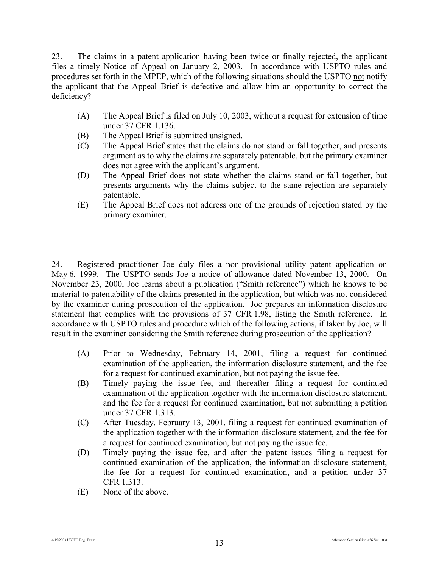23. The claims in a patent application having been twice or finally rejected, the applicant files a timely Notice of Appeal on January 2, 2003. In accordance with USPTO rules and procedures set forth in the MPEP, which of the following situations should the USPTO not notify the applicant that the Appeal Brief is defective and allow him an opportunity to correct the deficiency?

- (A) The Appeal Brief is filed on July 10, 2003, without a request for extension of time under 37 CFR 1.136.
- (B) The Appeal Brief is submitted unsigned.
- (C) The Appeal Brief states that the claims do not stand or fall together, and presents argument as to why the claims are separately patentable, but the primary examiner does not agree with the applicant's argument.
- (D) The Appeal Brief does not state whether the claims stand or fall together, but presents arguments why the claims subject to the same rejection are separately patentable.
- (E) The Appeal Brief does not address one of the grounds of rejection stated by the primary examiner.

24. Registered practitioner Joe duly files a non-provisional utility patent application on May 6, 1999. The USPTO sends Joe a notice of allowance dated November 13, 2000. On November 23, 2000, Joe learns about a publication ("Smith reference") which he knows to be material to patentability of the claims presented in the application, but which was not considered by the examiner during prosecution of the application. Joe prepares an information disclosure statement that complies with the provisions of 37 CFR 1.98, listing the Smith reference. In accordance with USPTO rules and procedure which of the following actions, if taken by Joe, will result in the examiner considering the Smith reference during prosecution of the application?

- (A) Prior to Wednesday, February 14, 2001, filing a request for continued examination of the application, the information disclosure statement, and the fee for a request for continued examination, but not paying the issue fee.
- (B) Timely paying the issue fee, and thereafter filing a request for continued examination of the application together with the information disclosure statement, and the fee for a request for continued examination, but not submitting a petition under 37 CFR 1.313.
- (C) After Tuesday, February 13, 2001, filing a request for continued examination of the application together with the information disclosure statement, and the fee for a request for continued examination, but not paying the issue fee.
- (D) Timely paying the issue fee, and after the patent issues filing a request for continued examination of the application, the information disclosure statement, the fee for a request for continued examination, and a petition under 37 CFR 1.313.
- (E) None of the above.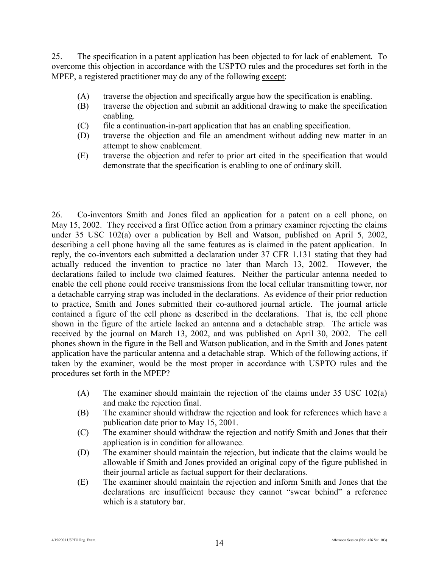25. The specification in a patent application has been objected to for lack of enablement. To overcome this objection in accordance with the USPTO rules and the procedures set forth in the MPEP, a registered practitioner may do any of the following except:

- (A) traverse the objection and specifically argue how the specification is enabling.
- (B) traverse the objection and submit an additional drawing to make the specification enabling.
- (C) file a continuation-in-part application that has an enabling specification.
- (D) traverse the objection and file an amendment without adding new matter in an attempt to show enablement.
- (E) traverse the objection and refer to prior art cited in the specification that would demonstrate that the specification is enabling to one of ordinary skill.

26. Co-inventors Smith and Jones filed an application for a patent on a cell phone, on May 15, 2002. They received a first Office action from a primary examiner rejecting the claims under 35 USC 102(a) over a publication by Bell and Watson, published on April 5, 2002, describing a cell phone having all the same features as is claimed in the patent application. In reply, the co-inventors each submitted a declaration under 37 CFR 1.131 stating that they had actually reduced the invention to practice no later than March 13, 2002. However, the declarations failed to include two claimed features. Neither the particular antenna needed to enable the cell phone could receive transmissions from the local cellular transmitting tower, nor a detachable carrying strap was included in the declarations. As evidence of their prior reduction to practice, Smith and Jones submitted their co-authored journal article. The journal article contained a figure of the cell phone as described in the declarations. That is, the cell phone shown in the figure of the article lacked an antenna and a detachable strap. The article was received by the journal on March 13, 2002, and was published on April 30, 2002. The cell phones shown in the figure in the Bell and Watson publication, and in the Smith and Jones patent application have the particular antenna and a detachable strap. Which of the following actions, if taken by the examiner, would be the most proper in accordance with USPTO rules and the procedures set forth in the MPEP?

- (A) The examiner should maintain the rejection of the claims under 35 USC 102(a) and make the rejection final.
- (B) The examiner should withdraw the rejection and look for references which have a publication date prior to May 15, 2001.
- (C) The examiner should withdraw the rejection and notify Smith and Jones that their application is in condition for allowance.
- (D) The examiner should maintain the rejection, but indicate that the claims would be allowable if Smith and Jones provided an original copy of the figure published in their journal article as factual support for their declarations.
- (E) The examiner should maintain the rejection and inform Smith and Jones that the declarations are insufficient because they cannot "swear behind" a reference which is a statutory bar.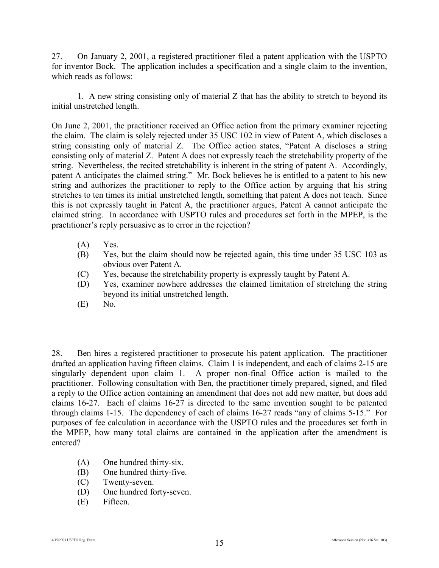27. On January 2, 2001, a registered practitioner filed a patent application with the USPTO for inventor Bock. The application includes a specification and a single claim to the invention, which reads as follows:

1. A new string consisting only of material Z that has the ability to stretch to beyond its initial unstretched length.

On June 2, 2001, the practitioner received an Office action from the primary examiner rejecting the claim. The claim is solely rejected under 35 USC 102 in view of Patent A, which discloses a string consisting only of material Z. The Office action states, "Patent A discloses a string consisting only of material Z. Patent A does not expressly teach the stretchability property of the string. Nevertheless, the recited stretchability is inherent in the string of patent A. Accordingly, patent A anticipates the claimed string." Mr. Bock believes he is entitled to a patent to his new string and authorizes the practitioner to reply to the Office action by arguing that his string stretches to ten times its initial unstretched length, something that patent A does not teach. Since this is not expressly taught in Patent A, the practitioner argues, Patent A cannot anticipate the claimed string. In accordance with USPTO rules and procedures set forth in the MPEP, is the practitioner's reply persuasive as to error in the rejection?

- (A) Yes.
- (B) Yes, but the claim should now be rejected again, this time under 35 USC 103 as obvious over Patent A.
- (C) Yes, because the stretchability property is expressly taught by Patent A.
- (D) Yes, examiner nowhere addresses the claimed limitation of stretching the string beyond its initial unstretched length.
- (E) No.

28. Ben hires a registered practitioner to prosecute his patent application. The practitioner drafted an application having fifteen claims. Claim 1 is independent, and each of claims 2-15 are singularly dependent upon claim 1. A proper non-final Office action is mailed to the practitioner. Following consultation with Ben, the practitioner timely prepared, signed, and filed a reply to the Office action containing an amendment that does not add new matter, but does add claims 16-27. Each of claims 16-27 is directed to the same invention sought to be patented through claims 1-15. The dependency of each of claims 16-27 reads "any of claims 5-15." For purposes of fee calculation in accordance with the USPTO rules and the procedures set forth in the MPEP, how many total claims are contained in the application after the amendment is entered?

- (A) One hundred thirty-six.
- (B) One hundred thirty-five.
- (C) Twenty-seven.
- (D) One hundred forty-seven.
- (E) Fifteen.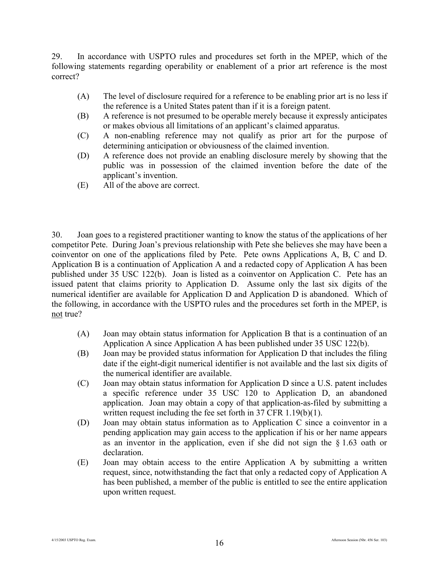29. In accordance with USPTO rules and procedures set forth in the MPEP, which of the following statements regarding operability or enablement of a prior art reference is the most correct?

- (A) The level of disclosure required for a reference to be enabling prior art is no less if the reference is a United States patent than if it is a foreign patent.
- (B) A reference is not presumed to be operable merely because it expressly anticipates or makes obvious all limitations of an applicant's claimed apparatus.
- (C) A non-enabling reference may not qualify as prior art for the purpose of determining anticipation or obviousness of the claimed invention.
- (D) A reference does not provide an enabling disclosure merely by showing that the public was in possession of the claimed invention before the date of the applicant's invention.
- (E) All of the above are correct.

30. Joan goes to a registered practitioner wanting to know the status of the applications of her competitor Pete. During Joan's previous relationship with Pete she believes she may have been a coinventor on one of the applications filed by Pete. Pete owns Applications A, B, C and D. Application B is a continuation of Application A and a redacted copy of Application A has been published under 35 USC 122(b). Joan is listed as a coinventor on Application C. Pete has an issued patent that claims priority to Application D. Assume only the last six digits of the numerical identifier are available for Application D and Application D is abandoned. Which of the following, in accordance with the USPTO rules and the procedures set forth in the MPEP, is not true?

- (A) Joan may obtain status information for Application B that is a continuation of an Application A since Application A has been published under 35 USC 122(b).
- (B) Joan may be provided status information for Application D that includes the filing date if the eight-digit numerical identifier is not available and the last six digits of the numerical identifier are available.
- (C) Joan may obtain status information for Application D since a U.S. patent includes a specific reference under 35 USC 120 to Application D, an abandoned application. Joan may obtain a copy of that application-as-filed by submitting a written request including the fee set forth in 37 CFR 1.19(b)(1).
- (D) Joan may obtain status information as to Application C since a coinventor in a pending application may gain access to the application if his or her name appears as an inventor in the application, even if she did not sign the § 1.63 oath or declaration.
- (E) Joan may obtain access to the entire Application A by submitting a written request, since, notwithstanding the fact that only a redacted copy of Application A has been published, a member of the public is entitled to see the entire application upon written request.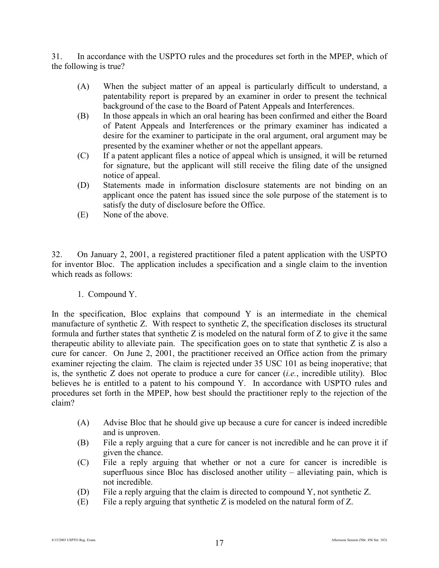31. In accordance with the USPTO rules and the procedures set forth in the MPEP, which of the following is true?

- (A) When the subject matter of an appeal is particularly difficult to understand, a patentability report is prepared by an examiner in order to present the technical background of the case to the Board of Patent Appeals and Interferences.
- (B) In those appeals in which an oral hearing has been confirmed and either the Board of Patent Appeals and Interferences or the primary examiner has indicated a desire for the examiner to participate in the oral argument, oral argument may be presented by the examiner whether or not the appellant appears.
- (C) If a patent applicant files a notice of appeal which is unsigned, it will be returned for signature, but the applicant will still receive the filing date of the unsigned notice of appeal.
- (D) Statements made in information disclosure statements are not binding on an applicant once the patent has issued since the sole purpose of the statement is to satisfy the duty of disclosure before the Office.
- (E) None of the above.

32. On January 2, 2001, a registered practitioner filed a patent application with the USPTO for inventor Bloc. The application includes a specification and a single claim to the invention which reads as follows:

1. Compound Y.

In the specification, Bloc explains that compound Y is an intermediate in the chemical manufacture of synthetic Z. With respect to synthetic Z, the specification discloses its structural formula and further states that synthetic  $Z$  is modeled on the natural form of  $Z$  to give it the same therapeutic ability to alleviate pain. The specification goes on to state that synthetic Z is also a cure for cancer. On June 2, 2001, the practitioner received an Office action from the primary examiner rejecting the claim. The claim is rejected under 35 USC 101 as being inoperative; that is, the synthetic Z does not operate to produce a cure for cancer (*i.e.*, incredible utility). Bloc believes he is entitled to a patent to his compound Y. In accordance with USPTO rules and procedures set forth in the MPEP, how best should the practitioner reply to the rejection of the claim?

- (A) Advise Bloc that he should give up because a cure for cancer is indeed incredible and is unproven.
- (B) File a reply arguing that a cure for cancer is not incredible and he can prove it if given the chance.
- (C) File a reply arguing that whether or not a cure for cancer is incredible is superfluous since Bloc has disclosed another utility – alleviating pain, which is not incredible.
- (D) File a reply arguing that the claim is directed to compound Y, not synthetic Z.
- (E) File a reply arguing that synthetic Z is modeled on the natural form of Z.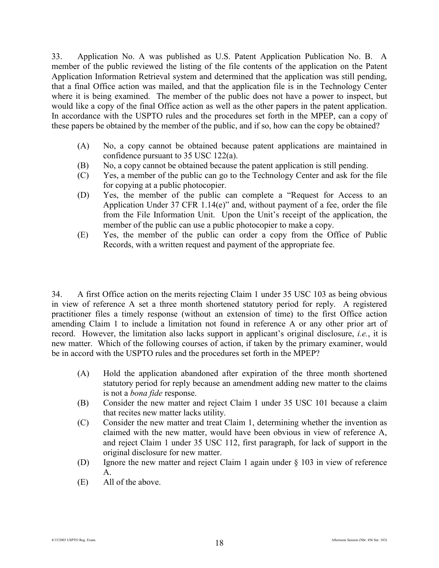33. Application No. A was published as U.S. Patent Application Publication No. B. A member of the public reviewed the listing of the file contents of the application on the Patent Application Information Retrieval system and determined that the application was still pending, that a final Office action was mailed, and that the application file is in the Technology Center where it is being examined. The member of the public does not have a power to inspect, but would like a copy of the final Office action as well as the other papers in the patent application. In accordance with the USPTO rules and the procedures set forth in the MPEP, can a copy of these papers be obtained by the member of the public, and if so, how can the copy be obtained?

- (A) No, a copy cannot be obtained because patent applications are maintained in confidence pursuant to 35 USC 122(a).
- (B) No, a copy cannot be obtained because the patent application is still pending.
- (C) Yes, a member of the public can go to the Technology Center and ask for the file for copying at a public photocopier.
- (D) Yes, the member of the public can complete a "Request for Access to an Application Under 37 CFR 1.14(e)" and, without payment of a fee, order the file from the File Information Unit. Upon the Unit's receipt of the application, the member of the public can use a public photocopier to make a copy.
- (E) Yes, the member of the public can order a copy from the Office of Public Records, with a written request and payment of the appropriate fee.

34. A first Office action on the merits rejecting Claim 1 under 35 USC 103 as being obvious in view of reference A set a three month shortened statutory period for reply. A registered practitioner files a timely response (without an extension of time) to the first Office action amending Claim 1 to include a limitation not found in reference A or any other prior art of record. However, the limitation also lacks support in applicant's original disclosure, *i.e.*, it is new matter. Which of the following courses of action, if taken by the primary examiner, would be in accord with the USPTO rules and the procedures set forth in the MPEP?

- (A) Hold the application abandoned after expiration of the three month shortened statutory period for reply because an amendment adding new matter to the claims is not a *bona fide* response.
- (B) Consider the new matter and reject Claim 1 under 35 USC 101 because a claim that recites new matter lacks utility.
- (C) Consider the new matter and treat Claim 1, determining whether the invention as claimed with the new matter, would have been obvious in view of reference A, and reject Claim 1 under 35 USC 112, first paragraph, for lack of support in the original disclosure for new matter.
- (D) Ignore the new matter and reject Claim 1 again under § 103 in view of reference A.
- (E) All of the above.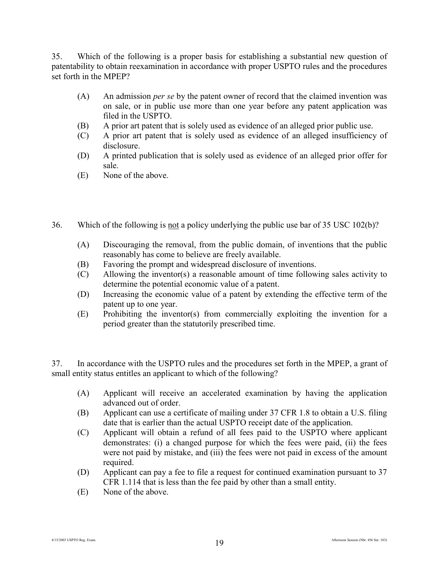35. Which of the following is a proper basis for establishing a substantial new question of patentability to obtain reexamination in accordance with proper USPTO rules and the procedures set forth in the MPEP?

- (A) An admission *per se* by the patent owner of record that the claimed invention was on sale, or in public use more than one year before any patent application was filed in the USPTO.
- (B) A prior art patent that is solely used as evidence of an alleged prior public use.
- (C) A prior art patent that is solely used as evidence of an alleged insufficiency of disclosure.
- (D) A printed publication that is solely used as evidence of an alleged prior offer for sale.
- (E) None of the above.
- 36. Which of the following is not a policy underlying the public use bar of 35 USC 102(b)?
	- (A) Discouraging the removal, from the public domain, of inventions that the public reasonably has come to believe are freely available.
	- (B) Favoring the prompt and widespread disclosure of inventions.
	- (C) Allowing the inventor(s) a reasonable amount of time following sales activity to determine the potential economic value of a patent.
	- (D) Increasing the economic value of a patent by extending the effective term of the patent up to one year.
	- (E) Prohibiting the inventor(s) from commercially exploiting the invention for a period greater than the statutorily prescribed time.

37. In accordance with the USPTO rules and the procedures set forth in the MPEP, a grant of small entity status entitles an applicant to which of the following?

- (A) Applicant will receive an accelerated examination by having the application advanced out of order.
- (B) Applicant can use a certificate of mailing under 37 CFR 1.8 to obtain a U.S. filing date that is earlier than the actual USPTO receipt date of the application.
- (C) Applicant will obtain a refund of all fees paid to the USPTO where applicant demonstrates: (i) a changed purpose for which the fees were paid, (ii) the fees were not paid by mistake, and (iii) the fees were not paid in excess of the amount required.
- (D) Applicant can pay a fee to file a request for continued examination pursuant to 37 CFR 1.114 that is less than the fee paid by other than a small entity.
- (E) None of the above.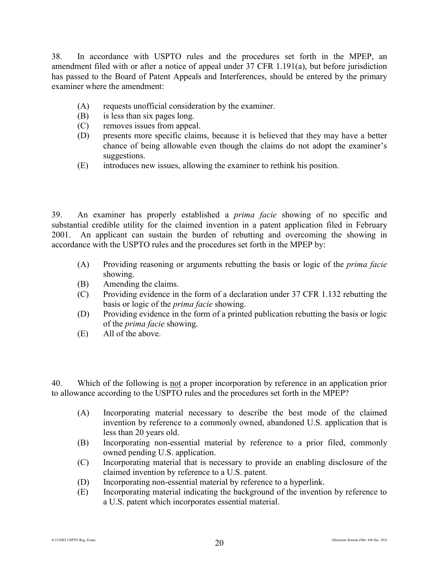38. In accordance with USPTO rules and the procedures set forth in the MPEP, an amendment filed with or after a notice of appeal under 37 CFR 1.191(a), but before jurisdiction has passed to the Board of Patent Appeals and Interferences, should be entered by the primary examiner where the amendment:

- (A) requests unofficial consideration by the examiner.
- (B) is less than six pages long.
- (C) removes issues from appeal.
- (D) presents more specific claims, because it is believed that they may have a better chance of being allowable even though the claims do not adopt the examiner's suggestions.
- (E) introduces new issues, allowing the examiner to rethink his position.

39. An examiner has properly established a *prima facie* showing of no specific and substantial credible utility for the claimed invention in a patent application filed in February 2001. An applicant can sustain the burden of rebutting and overcoming the showing in accordance with the USPTO rules and the procedures set forth in the MPEP by:

- (A) Providing reasoning or arguments rebutting the basis or logic of the *prima facie* showing.
- (B) Amending the claims.
- (C) Providing evidence in the form of a declaration under 37 CFR 1.132 rebutting the basis or logic of the *prima facie* showing.
- (D) Providing evidence in the form of a printed publication rebutting the basis or logic of the *prima facie* showing.
- (E) All of the above.

40. Which of the following is not a proper incorporation by reference in an application prior to allowance according to the USPTO rules and the procedures set forth in the MPEP?

- (A) Incorporating material necessary to describe the best mode of the claimed invention by reference to a commonly owned, abandoned U.S. application that is less than 20 years old.
- (B) Incorporating non-essential material by reference to a prior filed, commonly owned pending U.S. application.
- (C) Incorporating material that is necessary to provide an enabling disclosure of the claimed invention by reference to a U.S. patent.
- (D) Incorporating non-essential material by reference to a hyperlink.
- (E) Incorporating material indicating the background of the invention by reference to a U.S. patent which incorporates essential material.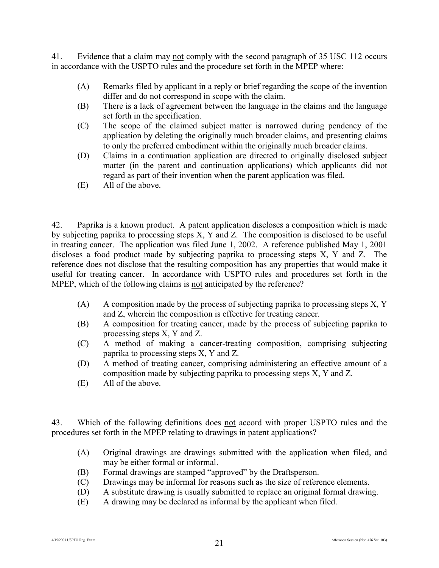41. Evidence that a claim may not comply with the second paragraph of 35 USC 112 occurs in accordance with the USPTO rules and the procedure set forth in the MPEP where:

- (A) Remarks filed by applicant in a reply or brief regarding the scope of the invention differ and do not correspond in scope with the claim.
- (B) There is a lack of agreement between the language in the claims and the language set forth in the specification.
- (C) The scope of the claimed subject matter is narrowed during pendency of the application by deleting the originally much broader claims, and presenting claims to only the preferred embodiment within the originally much broader claims.
- (D) Claims in a continuation application are directed to originally disclosed subject matter (in the parent and continuation applications) which applicants did not regard as part of their invention when the parent application was filed.
- (E) All of the above.

42. Paprika is a known product. A patent application discloses a composition which is made by subjecting paprika to processing steps X, Y and Z. The composition is disclosed to be useful in treating cancer. The application was filed June 1, 2002. A reference published May 1, 2001 discloses a food product made by subjecting paprika to processing steps X, Y and Z. The reference does not disclose that the resulting composition has any properties that would make it useful for treating cancer. In accordance with USPTO rules and procedures set forth in the MPEP, which of the following claims is not anticipated by the reference?

- (A) A composition made by the process of subjecting paprika to processing steps X, Y and Z, wherein the composition is effective for treating cancer.
- (B) A composition for treating cancer, made by the process of subjecting paprika to processing steps X, Y and Z.
- (C) A method of making a cancer-treating composition, comprising subjecting paprika to processing steps X, Y and Z.
- (D) A method of treating cancer, comprising administering an effective amount of a composition made by subjecting paprika to processing steps X, Y and Z.
- (E) All of the above.

43. Which of the following definitions does not accord with proper USPTO rules and the procedures set forth in the MPEP relating to drawings in patent applications?

- (A) Original drawings are drawings submitted with the application when filed, and may be either formal or informal.
- (B) Formal drawings are stamped "approved" by the Draftsperson.
- (C) Drawings may be informal for reasons such as the size of reference elements.
- (D) A substitute drawing is usually submitted to replace an original formal drawing.
- (E) A drawing may be declared as informal by the applicant when filed.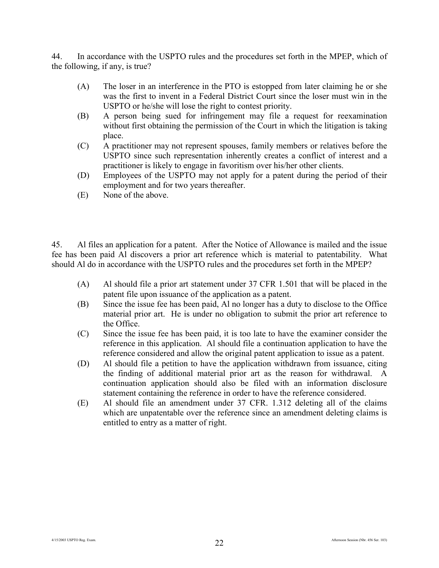44. In accordance with the USPTO rules and the procedures set forth in the MPEP, which of the following, if any, is true?

- (A) The loser in an interference in the PTO is estopped from later claiming he or she was the first to invent in a Federal District Court since the loser must win in the USPTO or he/she will lose the right to contest priority.
- (B) A person being sued for infringement may file a request for reexamination without first obtaining the permission of the Court in which the litigation is taking place.
- (C) A practitioner may not represent spouses, family members or relatives before the USPTO since such representation inherently creates a conflict of interest and a practitioner is likely to engage in favoritism over his/her other clients.
- (D) Employees of the USPTO may not apply for a patent during the period of their employment and for two years thereafter.
- (E) None of the above.

45. Al files an application for a patent. After the Notice of Allowance is mailed and the issue fee has been paid Al discovers a prior art reference which is material to patentability. What should Al do in accordance with the USPTO rules and the procedures set forth in the MPEP?

- (A) Al should file a prior art statement under 37 CFR 1.501 that will be placed in the patent file upon issuance of the application as a patent.
- (B) Since the issue fee has been paid, Al no longer has a duty to disclose to the Office material prior art. He is under no obligation to submit the prior art reference to the Office.
- (C) Since the issue fee has been paid, it is too late to have the examiner consider the reference in this application. Al should file a continuation application to have the reference considered and allow the original patent application to issue as a patent.
- (D) Al should file a petition to have the application withdrawn from issuance, citing the finding of additional material prior art as the reason for withdrawal. continuation application should also be filed with an information disclosure statement containing the reference in order to have the reference considered.
- (E) Al should file an amendment under 37 CFR. 1.312 deleting all of the claims which are unpatentable over the reference since an amendment deleting claims is entitled to entry as a matter of right.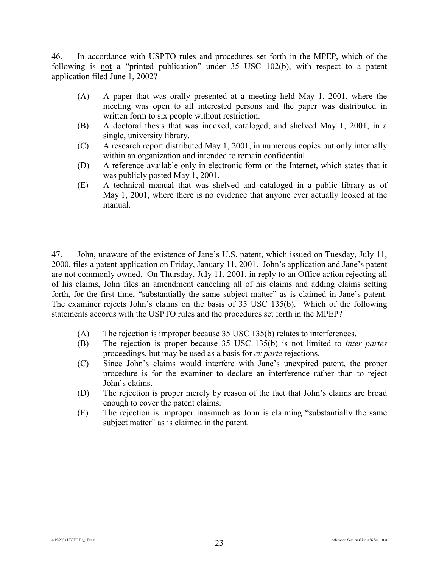46. In accordance with USPTO rules and procedures set forth in the MPEP, which of the following is not a "printed publication" under 35 USC 102(b), with respect to a patent application filed June 1, 2002?

- (A) A paper that was orally presented at a meeting held May 1, 2001, where the meeting was open to all interested persons and the paper was distributed in written form to six people without restriction.
- (B) A doctoral thesis that was indexed, cataloged, and shelved May 1, 2001, in a single, university library.
- (C) A research report distributed May 1, 2001, in numerous copies but only internally within an organization and intended to remain confidential.
- (D) A reference available only in electronic form on the Internet, which states that it was publicly posted May 1, 2001.
- (E) A technical manual that was shelved and cataloged in a public library as of May 1, 2001, where there is no evidence that anyone ever actually looked at the manual.

47. John, unaware of the existence of Jane's U.S. patent, which issued on Tuesday, July 11, 2000, files a patent application on Friday, January 11, 2001. John's application and Jane's patent are not commonly owned. On Thursday, July 11, 2001, in reply to an Office action rejecting all of his claims, John files an amendment canceling all of his claims and adding claims setting forth, for the first time, "substantially the same subject matter" as is claimed in Jane's patent. The examiner rejects John's claims on the basis of 35 USC 135(b). Which of the following statements accords with the USPTO rules and the procedures set forth in the MPEP?

- (A) The rejection is improper because 35 USC 135(b) relates to interferences.
- (B) The rejection is proper because 35 USC 135(b) is not limited to *inter partes* proceedings, but may be used as a basis for *ex parte* rejections.
- (C) Since John's claims would interfere with Jane's unexpired patent, the proper procedure is for the examiner to declare an interference rather than to reject John's claims.
- (D) The rejection is proper merely by reason of the fact that John's claims are broad enough to cover the patent claims.
- (E) The rejection is improper inasmuch as John is claiming "substantially the same subject matter" as is claimed in the patent.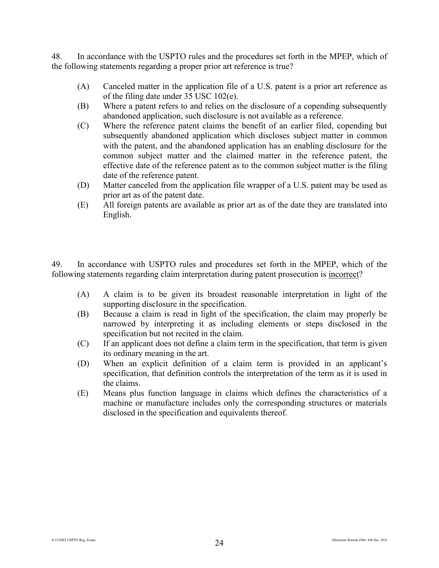48. In accordance with the USPTO rules and the procedures set forth in the MPEP, which of the following statements regarding a proper prior art reference is true?

- (A) Canceled matter in the application file of a U.S. patent is a prior art reference as of the filing date under 35 USC 102(e).
- (B) Where a patent refers to and relies on the disclosure of a copending subsequently abandoned application, such disclosure is not available as a reference.
- (C) Where the reference patent claims the benefit of an earlier filed, copending but subsequently abandoned application which discloses subject matter in common with the patent, and the abandoned application has an enabling disclosure for the common subject matter and the claimed matter in the reference patent, the effective date of the reference patent as to the common subject matter is the filing date of the reference patent.
- (D) Matter canceled from the application file wrapper of a U.S. patent may be used as prior art as of the patent date.
- (E) All foreign patents are available as prior art as of the date they are translated into English.

49. In accordance with USPTO rules and procedures set forth in the MPEP, which of the following statements regarding claim interpretation during patent prosecution is incorrect?

- (A) A claim is to be given its broadest reasonable interpretation in light of the supporting disclosure in the specification.
- (B) Because a claim is read in light of the specification, the claim may properly be narrowed by interpreting it as including elements or steps disclosed in the specification but not recited in the claim.
- (C) If an applicant does not define a claim term in the specification, that term is given its ordinary meaning in the art.
- (D) When an explicit definition of a claim term is provided in an applicant's specification, that definition controls the interpretation of the term as it is used in the claims.
- (E) Means plus function language in claims which defines the characteristics of a machine or manufacture includes only the corresponding structures or materials disclosed in the specification and equivalents thereof.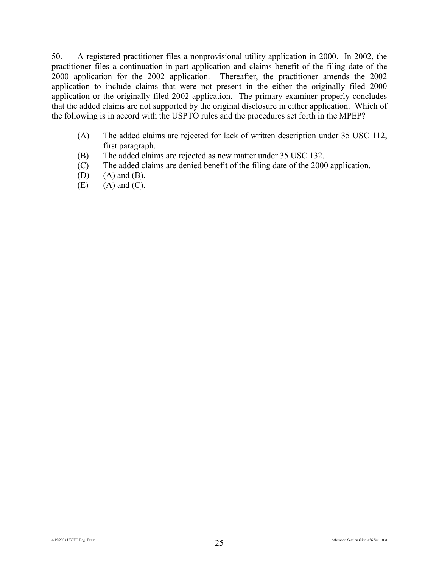50. A registered practitioner files a nonprovisional utility application in 2000. In 2002, the practitioner files a continuation-in-part application and claims benefit of the filing date of the 2000 application for the 2002 application. Thereafter, the practitioner amends the 2002 application to include claims that were not present in the either the originally filed 2000 application or the originally filed 2002 application. The primary examiner properly concludes that the added claims are not supported by the original disclosure in either application. Which of the following is in accord with the USPTO rules and the procedures set forth in the MPEP?

- (A) The added claims are rejected for lack of written description under 35 USC 112, first paragraph.
- (B) The added claims are rejected as new matter under 35 USC 132.
- (C) The added claims are denied benefit of the filing date of the 2000 application.
- $(D)$   $(A)$  and  $(B)$ .
- $(E)$   $(A)$  and  $(C)$ .